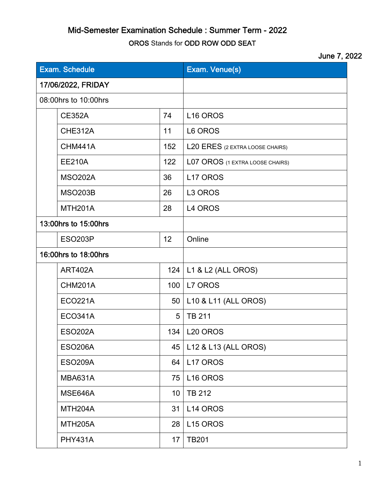## Mid-Semester Examination Schedule : Summer Term - 2022

OROS Stands for ODD ROW ODD SEAT

## June 7, 2022

| <b>Exam. Schedule</b> |                      |     | Exam. Venue(s)                  |
|-----------------------|----------------------|-----|---------------------------------|
| 17/06/2022, FRIDAY    |                      |     |                                 |
| 08:00hrs to 10:00hrs  |                      |     |                                 |
|                       | <b>CE352A</b>        | 74  | L <sub>16</sub> OROS            |
|                       | <b>CHE312A</b>       | 11  | L6 OROS                         |
|                       | <b>CHM441A</b>       | 152 | L20 ERES (2 EXTRA LOOSE CHAIRS) |
|                       | <b>EE210A</b>        | 122 | L07 OROS (1 EXTRA LOOSE CHAIRS) |
|                       | <b>MSO202A</b>       | 36  | L17 OROS                        |
|                       | <b>MSO203B</b>       | 26  | L <sub>3</sub> OROS             |
|                       | <b>MTH201A</b>       | 28  | L4 OROS                         |
| 13:00hrs to 15:00hrs  |                      |     |                                 |
|                       | <b>ESO203P</b>       | 12  | Online                          |
| 16:00hrs to 18:00hrs  |                      |     |                                 |
|                       | ART402A              | 124 | L1 & L2 (ALL OROS)              |
|                       | <b>CHM201A</b>       | 100 | L7 OROS                         |
|                       | <b>ECO221A</b>       | 50  | L10 & L11 (ALL OROS)            |
|                       | <b>ECO341A</b>       | 5   | <b>TB 211</b>                   |
|                       | <b>ESO202A</b>       | 134 | L <sub>20</sub> OROS            |
|                       | <b>ESO206A</b>       | 45  | L12 & L13 (ALL OROS)            |
|                       | <b>ESO209A</b>       | 64  | L17 OROS                        |
|                       | MBA631A              | 75  | L16 OROS                        |
|                       | MSE646A              | 10  | <b>TB 212</b>                   |
|                       | MTH <sub>204</sub> A | 31  | L14 OROS                        |
|                       | <b>MTH205A</b>       | 28  | L <sub>15</sub> OROS            |
|                       | <b>PHY431A</b>       | 17  | <b>TB201</b>                    |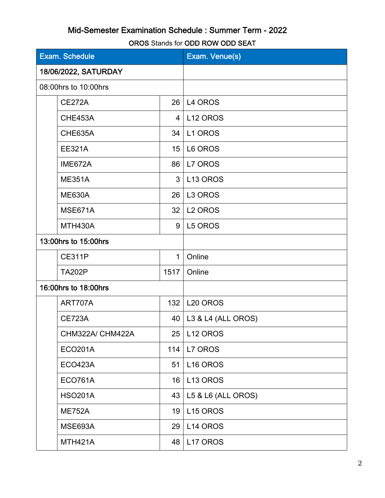## Mid-Semester Examination Schedule : Summer Term - 2022

OROS Stands for ODD ROW ODD SEAT

| <b>Exam. Schedule</b> |                      |                | Exam. Venue(s)       |
|-----------------------|----------------------|----------------|----------------------|
| 18/06/2022, SATURDAY  |                      |                |                      |
|                       | 08:00hrs to 10:00hrs |                |                      |
|                       | <b>CE272A</b>        | 26             | L4 OROS              |
|                       | CHE453A              | $\overline{4}$ | L <sub>12</sub> OROS |
|                       | <b>CHE635A</b>       | 34             | L1 OROS              |
|                       | <b>EE321A</b>        | 15             | L6 OROS              |
|                       | IME672A              | 86             | L7 OROS              |
|                       | <b>ME351A</b>        | 3              | L <sub>13</sub> OROS |
|                       | <b>ME630A</b>        | 26             | L3 OROS              |
|                       | MSE671A              | 32             | L <sub>2</sub> OROS  |
|                       | MTH430A              | 9              | L5 OROS              |
| 13:00hrs to 15:00hrs  |                      |                |                      |
|                       | <b>CE311P</b>        | $\mathbf 1$    | Online               |
|                       | <b>TA202P</b>        | 1517           | Online               |
| 16:00hrs to 18:00hrs  |                      |                |                      |
|                       | ART707A              | 132            | L <sub>20</sub> OROS |
|                       | <b>CE723A</b>        | 40             | L3 & L4 (ALL OROS)   |
|                       | CHM322A/ CHM422A     | 25             | L12 OROS             |
|                       | <b>ECO201A</b>       | 114            | L7 OROS              |
|                       | <b>ECO423A</b>       | 51             | L <sub>16</sub> OROS |
|                       | <b>ECO761A</b>       | 16             | L <sub>13</sub> OROS |
|                       | <b>HSO201A</b>       | 43             | L5 & L6 (ALL OROS)   |
|                       | <b>ME752A</b>        | 19             | L <sub>15</sub> OROS |
|                       | MSE693A              | 29             | L14 OROS             |
|                       | <b>MTH421A</b>       | 48             | L17 OROS             |